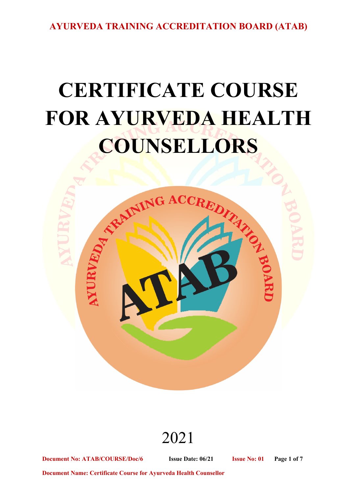# **CERTIFICATE COURSE FOR AYURVEDA HEALTH COUNSELLORS**



# 2021

**Document No: ATAB/COURSE/Doc/6 Issue Date: 06/21 Issue No: 01 Page 1 of 7**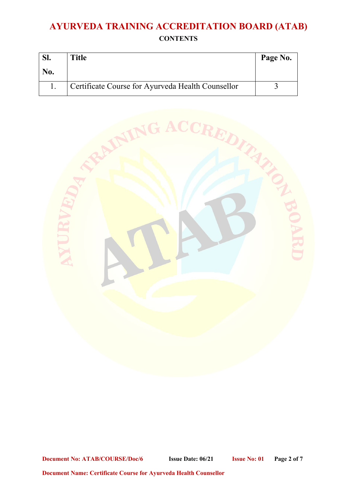| D <sub>1</sub> | <b>Title</b>                                      | Page No. |
|----------------|---------------------------------------------------|----------|
| No.            |                                                   |          |
|                | Certificate Course for Ayurveda Health Counsellor |          |



**Document No: ATAB/COURSE/Doc/6 Issue Date: 06/21 Issue No: 01 Page 2 of 7**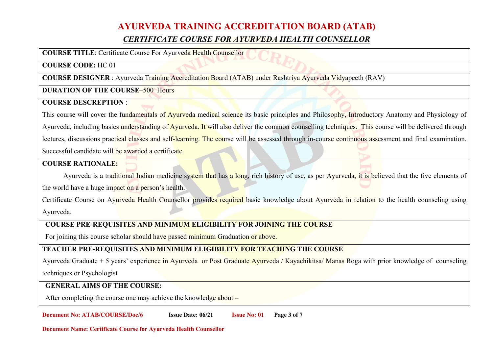### **AYURVEDA TRAINING ACCREDITATION BOARD (ATAB)** *CERTIFICATE COURSE FOR AYURVEDA HEALTH COUNSELLOR*

**COURSE TITLE**: Certificate Course For Ayurveda Health Counsellor

#### **COURSE CODE:** HC 01

**COURSE DESIGNER** : Ayurveda Training Accreditation Board (ATAB) under Rashtriya Ayurveda Vidyapeeth (RAV)

#### **DURATION OF THE COURSE–500 Hours**

#### **COURSE DESCREPTION** :

This course will cover the fundamentals of Ayurveda medical science its basic principles and Philosophy, Introductory Anatomy and Physiology of Ayurveda, including basics understanding of Ayurveda. It will also deliver the common counselling techniques. This course will be delivered through lectures, discussions practical classes and self-learning. The course will be assessed through in-course continuous assessment and final examination. Successful candidate will be awarded a certificate.

#### **COURSE RATIONALE:**

Ayurveda is a traditional Indian medicine system that has a long, rich history of use, as per Ayurveda, it is believed that the five elements of the world have a huge impact on a person's health.

Certificate Course on Ayurveda Health Counsellor provides required basic knowledge about Ayurveda in relation to the health counseling using Ayurveda.

#### **COURSE PRE-REQUISITES AND MINIMUM ELIGIBILITY FOR JOINING THE COURSE**

For joining this course scholar should have passed minimum Graduation or above.

#### **TEACHER PRE-REQUISITES AND MINIMUM ELIGIBILITY FOR TEACHING THE COURSE**

Ayurveda Graduate + 5 years' experience in Ayurveda or Post Graduate Ayurveda / Kayachikitsa/ Manas Roga with prior knowledge of counseling techniques or Psychologist

#### **GENERAL AIMS OF THE COURSE:**

After completing the course one may achieve the knowledge about –

**Document No: ATAB/COURSE/Doc/6 Issue Date: 06/21 Issue No: 01 Page 3 of 7**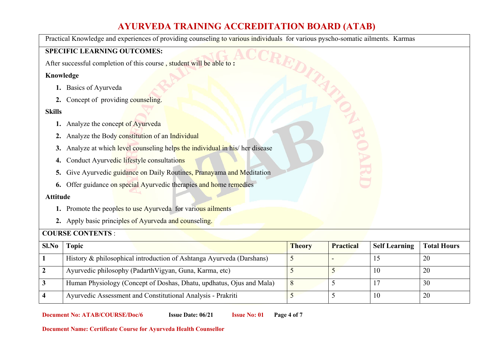Practical Knowledge and experiences of providing counseling to various individuals for various pyscho-somatic ailments. Karmas

#### **SPECIFIC LEARNING OUTCOMES:**

After successful completion of this course , student will be able to **:** 

#### **Knowledge**

- **1.** Basics of Ayurveda
- **2.** Concept of providing counseling.

#### **Skills**

- **1.** Analyze the concept of Ayurveda
- **2.** Analyze the Body constitution of an Individual
- **3.** Analyze at which level counseling helps the individual in his/ her disease
- **4.** Conduct Ayurvedic lifestyle consultations
- **5.** Give Ayurvedic guidance on Daily Routines, Pranayama and Meditation
- **6.** Offer guidance on special Ayurvedic therapies and home remedies

#### **Attitude**

- **1.** Promote the peoples to use Ayurveda for various ailments
- **2.** Apply basic principles of Ayurveda and counseling.

#### **COURSE CONTENTS** :

| Sl.No | <b>Topic</b>                                                         | <b>Theory</b> | <b>Practical</b> | <b>Self Learning</b> | <b>Total Hours</b> |
|-------|----------------------------------------------------------------------|---------------|------------------|----------------------|--------------------|
|       | History & philosophical introduction of Ashtanga Ayurveda (Darshans) |               |                  |                      | 20                 |
|       | Ayurvedic philosophy (PadarthVigyan, Guna, Karma, etc)               |               |                  | 10                   | 20                 |
|       | Human Physiology (Concept of Doshas, Dhatu, updhatus, Ojus and Mala) | 8             |                  |                      | 30                 |
|       | Ayurvedic Assessment and Constitutional Analysis - Prakriti          |               |                  | 10                   | 20                 |

**Document No: ATAB/COURSE/Doc/6 Issue Date: 06/21 Issue No: 01 Page 4 of 7**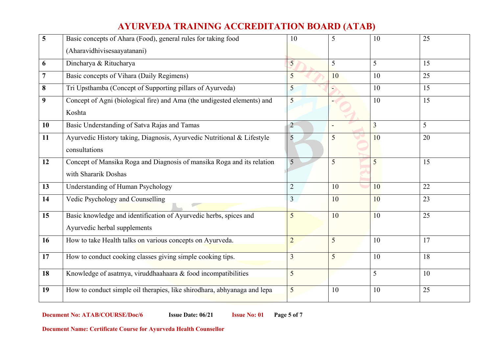| 5              | Basic concepts of Ahara (Food), general rules for taking food            | 10              | 5              | 10 | 25 |
|----------------|--------------------------------------------------------------------------|-----------------|----------------|----|----|
|                | (Aharavidhivisesaayatanani)                                              |                 |                |    |    |
| 6              | Dincharya & Ritucharya                                                   | $5\overline{)}$ | 5              | 5  | 15 |
| $\overline{7}$ | Basic concepts of Vihara (Daily Regimens)                                | $5\overline{)}$ | 10             | 10 | 25 |
| 8              | Tri Upsthamba (Concept of Supporting pillars of Ayurveda)                | 5               | €              | 10 | 15 |
| 9              | Concept of Agni (biological fire) and Ama (the undigested elements) and  | $5\overline{)}$ |                | 10 | 15 |
|                | Koshta                                                                   |                 |                |    |    |
| 10             | Basic Understanding of Satva Rajas and Tamas                             | $\overline{2}$  |                | 3  | 5  |
| 11             | Ayurvedic History taking, Diagnosis, Ayurvedic Nutritional & Lifestyle   | 5               | $\overline{5}$ | 10 | 20 |
|                | consultations                                                            |                 |                |    |    |
| 12             | Concept of Mansika Roga and Diagnosis of mansika Roga and its relation   | 5               | 5              | 5  | 15 |
|                | with Shararik Doshas                                                     |                 |                |    |    |
| 13             | Understanding of Human Psychology                                        | $\overline{2}$  | 10             | 10 | 22 |
| 14             | Vedic Psychology and Counselling                                         | $\overline{3}$  | 10             | 10 | 23 |
| 15             | Basic knowledge and identification of Ayurvedic herbs, spices and        | 5               | 10             | 10 | 25 |
|                | Ayurvedic herbal supplements                                             |                 |                |    |    |
| 16             | How to take Health talks on various concepts on Ayurveda.                | $\overline{2}$  | 5              | 10 | 17 |
| 17             | How to conduct cooking classes giving simple cooking tips.               | 3               | 5              | 10 | 18 |
| 18             | Knowledge of asatmya, viruddhaahaara & food incompatibilities            | 5               |                | 5  | 10 |
| 19             | How to conduct simple oil therapies, like shirodhara, abhyanaga and lepa | 5               | 10             | 10 | 25 |

**Document No: ATAB/COURSE/Doc/6 Issue Date: 06/21 Issue No: 01 Page 5 of 7**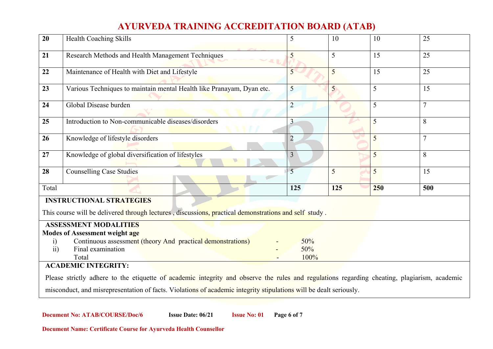| Health Coaching Skills                                                                                                                       | 5                                                                                                                                                                                                | 10                 | 10                                                                                                    | 25             |
|----------------------------------------------------------------------------------------------------------------------------------------------|--------------------------------------------------------------------------------------------------------------------------------------------------------------------------------------------------|--------------------|-------------------------------------------------------------------------------------------------------|----------------|
| Research Methods and Health Management Techniques                                                                                            | 5                                                                                                                                                                                                | 5                  | 15                                                                                                    | 25             |
| Maintenance of Health with Diet and Lifestyle                                                                                                | $\overline{5}$                                                                                                                                                                                   | $\overline{5}$     | 15                                                                                                    | 25             |
| Various Techniques to maintain mental Health like Pranayam, Dyan etc.                                                                        | 5                                                                                                                                                                                                | 5                  | 5                                                                                                     | 15             |
| Global Disease burden                                                                                                                        | $\overline{2}$                                                                                                                                                                                   |                    | 5                                                                                                     | $\overline{7}$ |
| Introduction to Non-communicable diseases/disorders                                                                                          | $\overline{3}$                                                                                                                                                                                   |                    | 5                                                                                                     | 8              |
| Knowledge of lifestyle disorders                                                                                                             | $\overline{2}$                                                                                                                                                                                   |                    | 5                                                                                                     |                |
| Knowledge of global diversification of lifestyles                                                                                            | $\overline{3}$                                                                                                                                                                                   |                    | 5                                                                                                     | 8              |
| <b>Counselling Case Studies</b>                                                                                                              | 5                                                                                                                                                                                                | 5                  | 5                                                                                                     | 15             |
|                                                                                                                                              | 125                                                                                                                                                                                              | 125                | 250                                                                                                   | 500            |
| <b>INSTRUCTIONAL STRATEGIES</b>                                                                                                              |                                                                                                                                                                                                  |                    |                                                                                                       |                |
|                                                                                                                                              |                                                                                                                                                                                                  |                    |                                                                                                       |                |
|                                                                                                                                              |                                                                                                                                                                                                  |                    |                                                                                                       |                |
|                                                                                                                                              |                                                                                                                                                                                                  |                    |                                                                                                       |                |
| $\ddot{1}$                                                                                                                                   |                                                                                                                                                                                                  |                    |                                                                                                       |                |
| ii)                                                                                                                                          |                                                                                                                                                                                                  |                    |                                                                                                       |                |
|                                                                                                                                              |                                                                                                                                                                                                  |                    |                                                                                                       |                |
|                                                                                                                                              |                                                                                                                                                                                                  |                    |                                                                                                       |                |
| Please strictly adhere to the etiquette of academic integrity and observe the rules and regulations regarding cheating, plagiarism, academic |                                                                                                                                                                                                  |                    |                                                                                                       |                |
| misconduct, and misrepresentation of facts. Violations of academic integrity stipulations will be dealt seriously.                           |                                                                                                                                                                                                  |                    |                                                                                                       |                |
|                                                                                                                                              | <b>ASSESSMENT MODALITIES</b><br><b>Modes of Assessment weight age</b><br>Continuous assessment (theory And practical demonstrations)<br>Final examination<br>Total<br><b>ACADEMIC INTEGRITY:</b> | 50%<br>50%<br>100% | This course will be delivered through lectures, discussions, practical demonstrations and self study. |                |